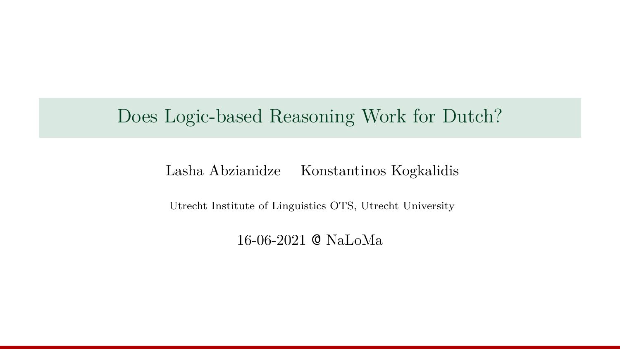## Does Logic-based Reasoning Work for Dutch?

#### Lasha Abzianidze Konstantinos Kogkalidis

Utrecht Institute of Linguistics OTS, Utrecht University

16-06-2021 @ NaLoMa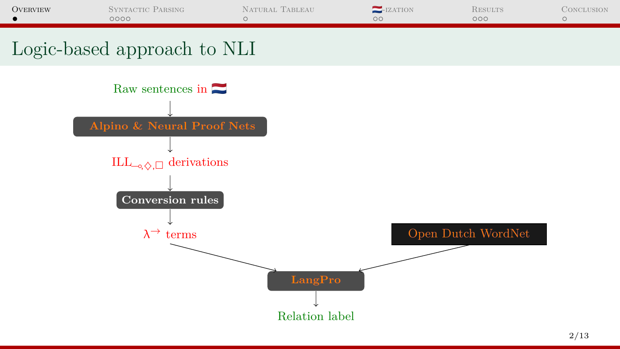<span id="page-1-0"></span>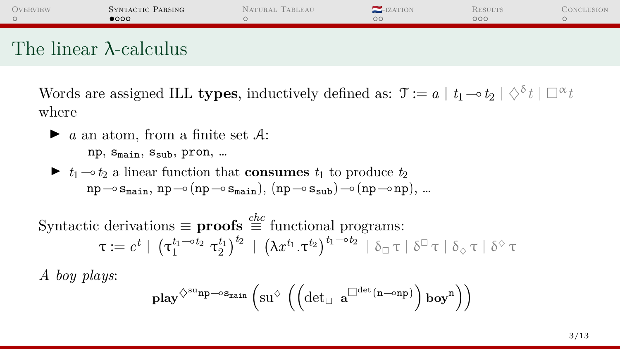<span id="page-2-0"></span>

| <b>OVERVIEW</b> | SYNTACTIC PARSING<br>$\bullet$ 000 | NATURAL TABLEAU | -IZATION | <b>RESULTS</b><br>noo | <b>CONCLUSION</b> |
|-----------------|------------------------------------|-----------------|----------|-----------------------|-------------------|
|                 |                                    |                 |          |                       |                   |

## The linear λ-calculus

Words are assigned ILL **types**, inductively defined as:  $\mathfrak{T} := a \mid t_1 \neg b_2 \mid \Diamond^{\delta} t \mid \Box^{\alpha} t$ where

 $\blacktriangleright$  *a* an atom, from a finite set A:

 $np$ ,  $S_{main}$ ,  $S_{sub}$ ,  $pron$ , ...

 $\blacktriangleright$  *t*<sub>1</sub>  $\multimap$  *t*<sub>2</sub> a linear function that **consumes** *t*<sub>1</sub> to produce *t*<sub>2</sub>  $np\rightarrow s_{\text{main}}$ ,  $np\rightarrow(np\rightarrow s_{\text{main}})$ ,  $(np\rightarrow s_{\text{sub}})$   $\rightarrow$   $(np\rightarrow np)$ , ...

Syntactic derivations  $\equiv$  **proofs**  $\stackrel{chc}{=}$  functional programs:  $\tau:=c^t \ \vert \ \left(\tau_1^{t_1-\circ t_2} \ \tau_2^{t_1}\right)^{t_2} \ \vert \ \left(\lambda x^{t_1}.\tau^{t_2}\right)^{t_1-\circ t_2} \ \vert \ \delta_{\Box} \, \tau \ \vert \ \delta^{\Box} \, \tau \ \vert \ \delta_{\Diamond} \, \tau \ \vert \ \delta^{\Diamond} \, \tau$ 

*A boy plays*:

$$
\mathbf{play}^{\diamondsuit^{\mathrm{sup}}\mathbf{-os}_{\text{main}}}\left(\mathrm{su}^{\diamondsuit}\left(\left(\det_\Box\ \mathbf{a}^{\Box^{\mathrm{det}}(n-\mathrm{on}p)}\right)\mathbf{boy}^n\right)\right)
$$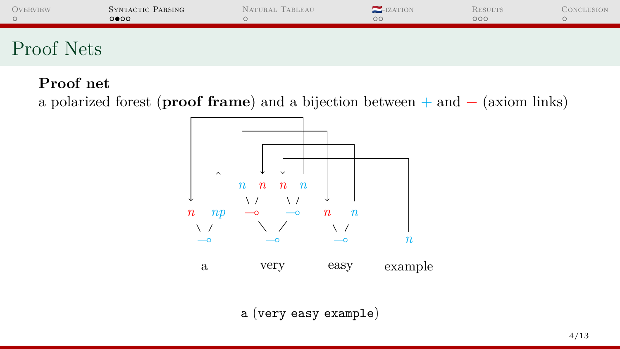| <b>OVERVIEW</b>                    | SYNTACTIC PARSING<br>0000 | NATURAL TABLEAU | $-$ IZATION<br>$\circ$ | <b>RESULTS</b><br>000 | Conclusion |
|------------------------------------|---------------------------|-----------------|------------------------|-----------------------|------------|
| Proof<br>$\Delta$ te<br><b>UUD</b> |                           |                 |                        |                       |            |

#### **Proof net**

a polarized forest (**proof frame**) and a bijection between + and − (axiom links)



a (very easy example)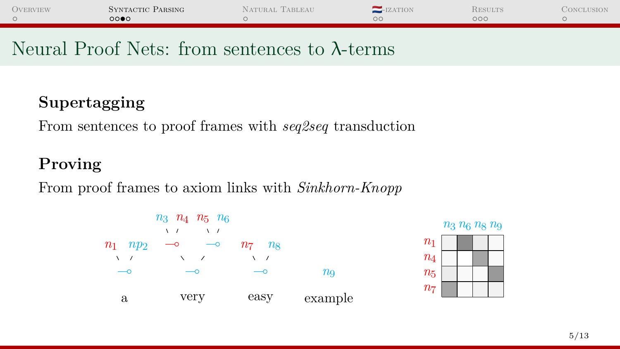| <b>OVERVIEW</b> | SYNTACTIC PARSING | NATURAL TABLEAU | $-$ <b>IZATION</b> | RESULTS | Conclusion |
|-----------------|-------------------|-----------------|--------------------|---------|------------|
|                 | 0000              |                 |                    | оос     |            |

### Neural Proof Nets: from sentences to λ-terms

### **Supertagging**

From sentences to proof frames with *seq2seq* transduction

### **Proving**

From proof frames to axiom links with *Sinkhorn-Knopp*



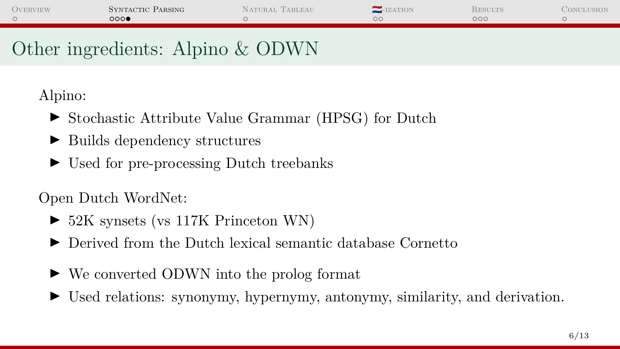| <b>OVERVIEW</b> | SYNTACTIC PARSING | NATURAL TABLEAU | $-$ <b>IZATION</b> | <b>RESULTS</b>      | CONCLUSION |
|-----------------|-------------------|-----------------|--------------------|---------------------|------------|
|                 | 0000              |                 | oс                 | $\circ \circ \circ$ |            |
|                 |                   |                 |                    |                     |            |

# Other ingredients: Alpino & ODWN

Alpino:

- ▶ Stochastic Attribute Value Grammar (HPSG) for Dutch
- I Builds dependency structures
- $\triangleright$  Used for pre-processing Dutch treebanks

Open Dutch WordNet:

- $\triangleright$  52K synsets (vs 117K Princeton WN)
- I Derived from the Dutch lexical semantic database Cornetto
- ► We converted ODWN into the prolog format
- Used relations: synonymy, hypernymy, antonymy, similarity, and derivation.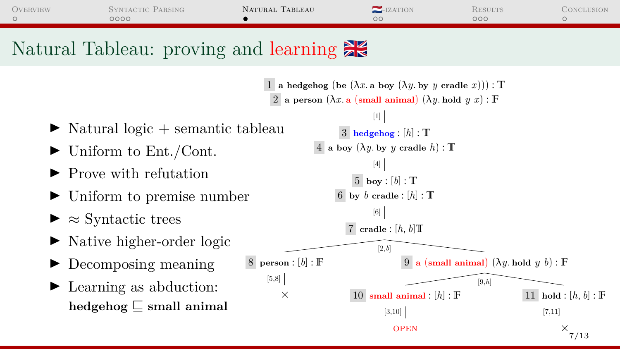<span id="page-6-0"></span>

| <b>OVERVIEW</b> | SYNTACTIC PARSING | NATURAL TABLEAU | $-$ <b>IZATION</b> | RESULTS | CONCLUSION |
|-----------------|-------------------|-----------------|--------------------|---------|------------|
|                 | 0000              |                 | oс                 | ooc     |            |
|                 |                   |                 |                    |         |            |

# Natural Tableau: proving and learning

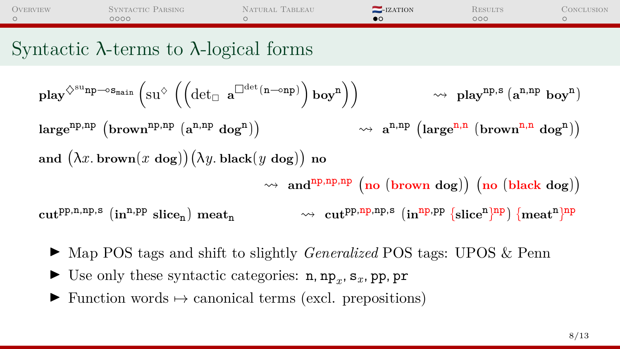<span id="page-7-0"></span>

| <b>OVERVIEW</b>                                                 | SYNTACTIC PARSING<br>0000 | NATURAL TABLEAU | $-$ IZATION | <b>RESULTS</b><br>noc | CONCLUSION |
|-----------------------------------------------------------------|---------------------------|-----------------|-------------|-----------------------|------------|
| $\mathbf{1}$ and $\mathbf{1}$ and $\mathbf{1}$ and $\mathbf{1}$ |                           |                 |             |                       |            |

## Syntactic λ-terms to λ-logical forms

$$
\begin{array}{ll}\n\text{play}^{\Diamond \text{sup}\multimap \text{S}_{main}}\left(\text{SU}^{\Diamond}\left(\left(\det_{\Box} a^{\Box\det(n-\text{opp})}\right) \text{boy}^n\right)\right) & \rightsquigarrow \text{play}^{np,s}\left(a^{n,np} \text{ boy}^n\right) \\
\text{large}^{np,np}\left(\text{brown}^{np,np}\left(a^{n,np} \text{ dog}^n\right)\right) & \rightsquigarrow a^{n,np}\left(\text{large}^{n,n}\left(\text{brown}^{n,n} \text{ dog}^n\right)\right) \\
\text{and } \left(\lambda x. \text{ brown}(x \text{ dog})\right)\left(\lambda y. \text{ black}(y \text{ dog})\right) \text{ no} \\
& \rightsquigarrow \text{and}^{np,np,pp}\left(\text{no}\left(\text{brown dog}\right)\right)\left(\text{no}\left(\text{black dog}\right)\right) \\
\text{cut}^{pp,n,p,s}\left(\text{in}^{n,pp}\text{ slice}_n\right) \text{ meat}_n & \rightsquigarrow \text{cut}^{pp,np,sp,s}\left(\text{in}^{np,pp}\left\{\text{slice}^n\right)^{np}\right\}\left(\text{meat}^n\right)^{np}\n\end{array}
$$

- ► Map POS tags and shift to slightly *Generalized* POS tags: UPOS & Penn
- $\blacktriangleright$  Use only these syntactic categories: n, np<sub>*x*</sub>, s<sub>*x*</sub>, pp, pr
- $\triangleright$  Function words  $\mapsto$  canonical terms (excl. prepositions)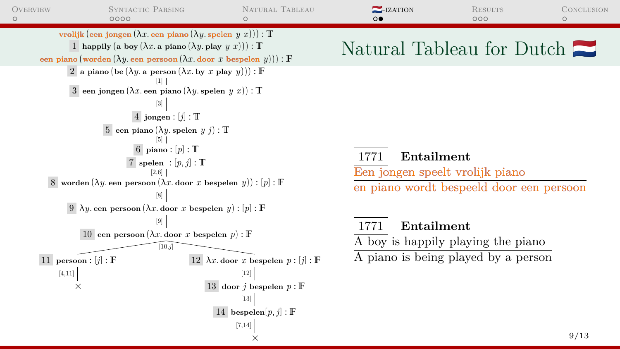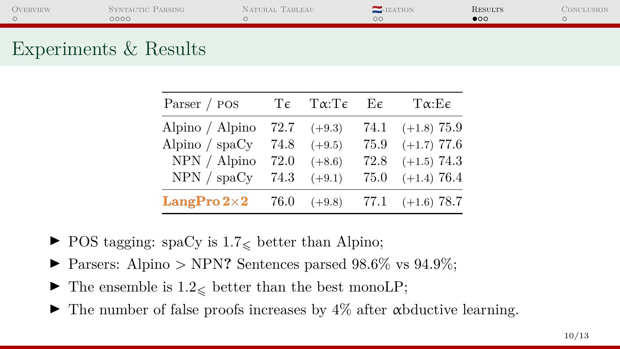<span id="page-9-0"></span>

| <b>OVERVIEW</b> | SYNTACTIC PARSING<br>0000 | Natural Tableau | $-$ <b>IZATION</b><br>OΟ | <b>RESULTS</b><br>$\bullet \circ \circ$ | CONCLUSION |
|-----------------|---------------------------|-----------------|--------------------------|-----------------------------------------|------------|
|                 |                           |                 |                          |                                         |            |

## Experiments & Results

| Parser / POS                                        | $T\epsilon$ $T\alpha$ : $T\epsilon$ $E\epsilon$ | $T\alpha$ :Ee          |
|-----------------------------------------------------|-------------------------------------------------|------------------------|
| Alpino $\lambda$ Alpino 72.7 (+9.3)                 |                                                 | 74.1 $(+1.8)$ 75.9     |
| Alpino / $\text{spaCy}$ 74.8                        | $(+9.5)$                                        | $75.9$ $(+1.7)$ 77.6   |
| $NPN /$ Alpino 72.0                                 | $(+8.6)$                                        | $72.8$ $(+1.5)$ $74.3$ |
| NPN / $\text{spaCy}$ 74.3                           | $(+9.1)$                                        | $75.0$ $(+1.4)$ $76.4$ |
| <b>LangPro 2×2</b> 76.0 $(+9.8)$ 77.1 $(+1.6)$ 78.7 |                                                 |                        |

- $\blacktriangleright$  POS tagging: spaCy is 1.7<sub> $\lt$ </sub> better than Alpino;
- $\blacktriangleright$  Parsers: Alpino > NPN? Sentences parsed 98.6% vs 94.9%;
- $\blacktriangleright$  The ensemble is  $1.2_{\leq}$  better than the best monoLP;
- $\blacktriangleright$  The number of false proofs increases by  $4\%$  after  $\alpha$ bductive learning.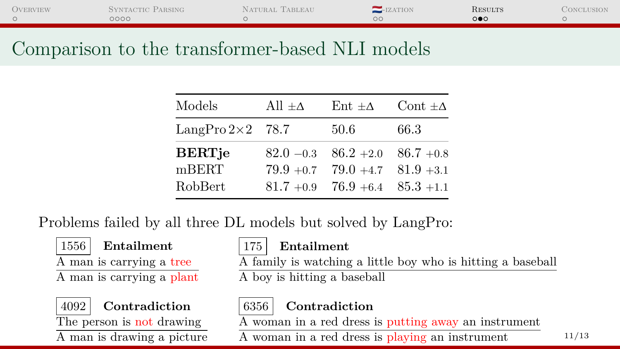| <b>OVERVIEW</b> | SYNTACTIC PARSING | NATURAL TABLEAU | $-$ <b>IZATION</b> | RESULTS | CONCLUSION |
|-----------------|-------------------|-----------------|--------------------|---------|------------|
|                 | 0000              |                 |                    | ⊙●€     |            |

## Comparison to the transformer-based NLI models

| Models                  | All $\pm \Delta$ | $Ent \pm \Delta$                       | Cont $\pm \Delta$ |
|-------------------------|------------------|----------------------------------------|-------------------|
| LangPro $2\times2$ 78.7 |                  | 50.6                                   | 66.3              |
| <b>BERTje</b>           |                  | $82.0 - 0.3$ $86.2 + 2.0$ $86.7 + 0.8$ |                   |
| mBERT                   | $79.9 + 0.7$     | $79.0 + 4.7$                           | $81.9 + 3.1$      |
| RobBert                 |                  | $81.7 + 0.9$ 76.9 + 6.4 $85.3 + 1.1$   |                   |

Problems failed by all three DL models but solved by LangPro:

1556 **Entailment**

A man is carrying a tree

A man is carrying a plant



4092 **Contradiction**

The person is not drawing A man is drawing a picture

#### 175 **Entailment**

A family is watching a little boy who is hitting a baseball

A boy is hitting a baseball

### 6356 **Contradiction**

A woman in a red dress is putting away an instrument

A woman in a red dress is playing an instrument  $11/13$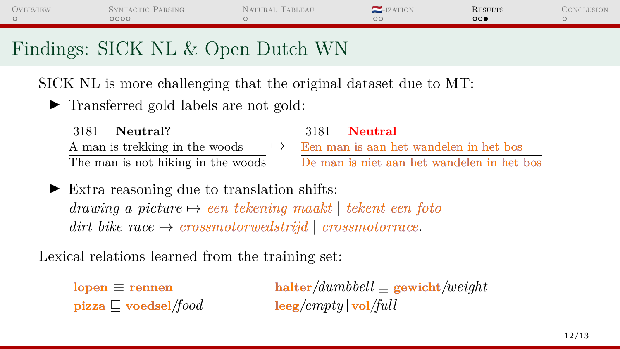| <b>OVERVIEW</b> | SYNTACTIC PARSING<br>OOOO.        | NATURAL TABLEAU | $-LZATION$ | <b>RESULTS</b><br>െ∙ | CONCLUSION |
|-----------------|-----------------------------------|-----------------|------------|----------------------|------------|
|                 | Findings: SICK NL & Open Dutch WN |                 |            |                      |            |

SICK NL is more challenging that the original dataset due to MT:

▶ Transferred gold labels are not gold:



3181 **Neutral?**

The man is not hiking in the woods



 $\overline{A}$  man is trekking in the woods  $\rightarrow$  Een man is aan het wandelen in het bos

De man is niet aan het wandelen in het bos

 $\triangleright$  Extra reasoning due to translation shifts: *drawing a picture* 7→ *een tekening maakt* | *tekent een foto dirt bike race*  $\rightarrow$  *crossmotorwedstrijd* | *crossmotorrace.* 

Lexical relations learned from the training set:

 $\mathbf{p}$ **izza**  $\Box$  **voedsel**/*food* **leeg**/*empty*  $\vert \mathbf{vol}/\mathrm{full} \vert$ 

 $\mathbf{lopen} \equiv \mathbf{rennen}$  **halter**/*dumbbell*  $\Box$  **gewicht**/*weight*